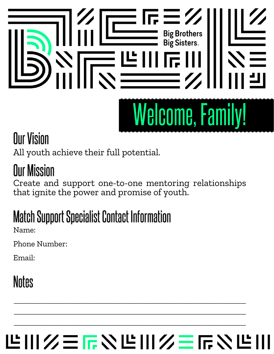# $\frac{1}{\sqrt{1-\frac{3}{5}}}\sqrt{\frac{1}{1-\frac{3}{5}}}\sqrt{\frac{1}{1-\frac{3}{5}}}\sqrt{\frac{1}{1-\frac{3}{5}}}\sqrt{\frac{1}{1-\frac{1}{5}}}\sqrt{\frac{1}{1-\frac{1}{5}}}\sqrt{\frac{1}{1-\frac{1}{5}}}\sqrt{\frac{1}{1-\frac{1}{5}}}\sqrt{\frac{1}{1-\frac{1}{5}}}\sqrt{\frac{1}{1-\frac{1}{5}}}\sqrt{\frac{1}{1-\frac{1}{5}}}\sqrt{\frac{1}{1-\frac{1}{5}}}\sqrt{\frac{1}{1-\frac{1}{5}}}\sqrt{\frac{1}{1-\frac{1}{5}}}\sqrt{\frac{1}{1-\$ ᆖ╚ **Welcome, Family!**

### **Our Vision**

All youth achieve their full potential.

### **Our Mission**

Create and support one-to-one mentoring relationships that ignite the power and promise of youth.

## **Match Support Specialist Contact Information**

Name:

Phone Number:

Email:

### **Notes**

# **世川久三辰や世川久三辰や世**

\_\_\_\_\_\_\_\_\_\_\_\_\_\_\_\_\_\_\_\_\_\_\_\_\_\_\_\_\_\_\_\_\_\_\_\_\_\_\_\_\_\_\_\_\_\_\_\_\_\_\_\_\_\_\_\_\_\_\_\_\_\_\_\_\_\_\_\_\_\_\_\_\_\_\_\_\_\_\_\_\_\_\_\_\_\_\_\_\_\_\_\_\_\_\_\_\_

\_\_\_\_\_\_\_\_\_\_\_\_\_\_\_\_\_\_\_\_\_\_\_\_\_\_\_\_\_\_\_\_\_\_\_\_\_\_\_\_\_\_\_\_\_\_\_\_\_\_\_\_\_\_\_\_\_\_\_\_\_\_\_\_\_\_\_\_\_\_\_\_\_\_\_\_\_\_\_\_\_\_\_\_\_\_\_\_\_\_\_\_\_\_\_\_\_

 $\overline{\phantom{a}}$  , and the set of the set of the set of the set of the set of the set of the set of the set of the set of the set of the set of the set of the set of the set of the set of the set of the set of the set of the s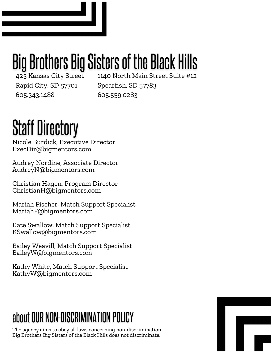# Big Brothers Big Sisters of the Black Hills

425 Kansas City Street Rapid City, SD 57701 605.343.1488

1140 North Main Street Suite #12 Spearfish, SD 57783 605.559.0283

# **Staff Directory**

Nicole Burdick, Executive Director ExecDir@bigmentors.com

Audrey Nordine, Associate Director AudreyN@bigmentors.com

Christian Hagen, Program Director ChristianH@bigmentors.com

Mariah Fischer, Match Support Specialist MariahF@bigmentors.com

Kate Swallow, Match Support Specialist KSwallow@bigmentors.com

Bailey Weavill, Match Support Specialist BaileyW@bigmentors.com

Kathy White, Match Support Specialist KathyW@bigmentors.com

### about OUR NON-DISCRIMINATION POLICY

The agency aims to obey all laws concerning non-discrimination. Big Brothers Big Sisters of the Black Hills does not discriminate.

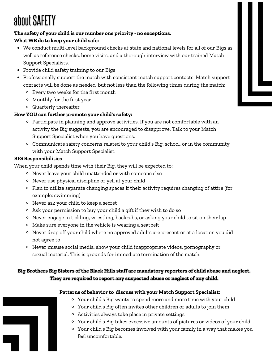### about SAFETY

#### **The safety of your child is our number one priority - no exceptions. What WE do to keep your child safe:**

- We conduct multi-level background checks at state and national levels for all of our Bigs as well as reference checks, home visits, and a thorough interview with our trained Match Support Specialists.
- Provide child safety training to our Bigs
- Professionally support the match with consistent match support contacts. Match support contacts will be done as needed, but not less than the following times during the match:
	- Every two weeks for the first month
	- Monthly for the first year
	- Quarterly thereafter

#### **How YOU can further promote your child's safety:**

- Participate in planning and approve activities. If you are not comfortable with an activity the Big suggests, you are encouraged to disapprove. Talk to your Match Support Specialist when you have questions.
- Communicate safety concerns related to your child's Big, school, or in the community with your Match Support Specialist.

#### **BIG Responsibilities**

When your child spends time with their Big, they will be expected to:

- Never leave your child unattended or with someone else
- Never use physical discipline or yell at your child
- Plan to utilize separate changing spaces if their activity requires changing of attire (for example: swimming)
- Never ask your child to keep a secret
- Ask your permission to buy your child a gift if they wish to do so
- <sup>o</sup> Never engage in tickling, wrestling, backrubs, or asking your child to sit on their lap
- Make sure everyone in the vehicle is wearing a seatbelt
- Never drop off your child where no approved adults are present or at a location you did not agree to
- Never misuse social media, show your child inappropriate videos, pornography or sexual material. This is grounds for immediate termination of the match.

#### Big Brothers Big Sisters of the Black Hills staff are mandatory reporters of child abuse and neglect. They are required to report any suspected abuse or neglect of any child.

#### **Patterns of behavior to discuss with your Match Support Specialist:**

- Your child's Big wants to spend more and more time with your child
- Your child's Big often invites other children or adults to join them
- Activities always take place in private settings
- Your child's Big takes excessive amounts of pictures or videos of your child
- Your child's Big becomes involved with your family in a way that makes you feel uncomfortable.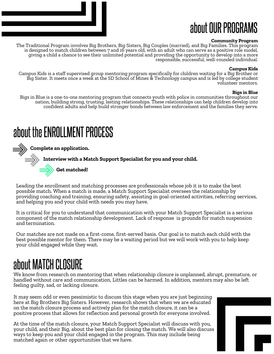### about OUR PROGRAMS

#### **Community Program**

The Traditional Program involves Big Brothers, Big Sisters, Big Couples (married), and Big Families. This program is designed to match children between 7 and 16 years old, with an adult who can serve as a positive role model, giving a child a chance to see their unlimited potential and providing the opportunity to develop into a more responsible, successful, well-rounded individual.

#### **Campus Kids**

Campus Kids is a staff supervised group mentoring program specifically for children waiting for a Big Brother or Big Sister. It meets once a week at the SD School of Mines & Technology campus and is led by college student volunteer mentors.

#### **Bigs in Blue**

Bigs in Blue is a one-to-one mentoring program that connects youth with police in communities throughout our nation, building strong, trusting, lasting relationships. These relationships can help children develop into confident adults and help build stronger bonds between law enforcement and the families they serve.

### about the ENROLLMENT PROCESS

**Complete an application. Interview with a Match Support Specialistfor you and your child. Get matched!**

Leading the enrollment and matching processes are professionals whose job it is to make the best possible match. When a match is made, a Match Support Specialist oversees the relationship by providing coaching and training, ensuring safety, assisting in goal-oriented activities, referring services, and helping you and your child with needs you may have.

It is critical for you to understand that communication with your Match Support Specialist is a serious component of the match relationship development. Lack of response is grounds for match suspension and termination.

Our matches are not made on a first-come, first-served basis. Our goal is to match each child with the best possible mentor for them. There may be a waiting period but we will work with you to help keep your child engaged while they wait.

### about MATCH CLOSURE

We know from research on mentoring that when relationship closure is unplanned, abrupt, premature, or handled without care and communication, Littles can be harmed. In addition, mentors may also be left feeling guilty, sad, or lacking closure.

It may seem odd or even pessimistic to discuss this stage when you are just beginning here at Big Brothers Big Sisters. However, research shows that when we are educated on the match closure process and actively plan for the match closure, it can be a positive process that allows for reflection and personal growth for everyone involved.

At the time of the match closure, your Match Support Specialist will discuss with you, your child, and their Big, about the best plan for closing the match. We will also discuss ways to keep you and your child engaged in the program. This may include being matched again or other opportunities that we have.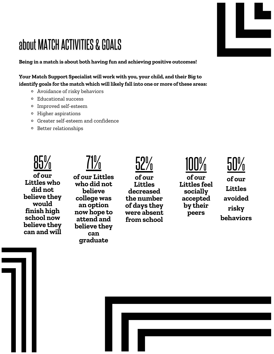### about MATCH ACTIVITIES & GOALS

**Being in a match is about both having fun and achieving positive outcomes!**

**Your Match Support Specialist will work with you, your child, and their Big to identify goals for the match which will likely fall into one or more ofthese areas:**

- Avoidance of risky behaviors
- Educational success
- Improved self-esteem
- Higher aspirations
- Greater self-esteem and confidence
- Better relationships



 $71\%$ 

**of our Littles who did not believe they would finish high school now believe they can and will** **of our Littles who did not believe college was an option now hope to attend and believe they can graduate**

52% **of our Littles decreased the number of days they were absent from school**

<u>100%</u> **of our Littles feel socially accepted by their peers**



**of our Littles avoided risky behaviors**

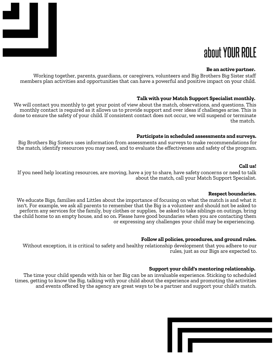

### about YOUR ROLE

#### **Be an active partner.**

Working together, parents, guardians, or caregivers, volunteers and Big Brothers Big Sister staff members plan activities and opportunities that can have a powerful and positive impact on your child.

#### **Talk with your Match Support Specialist monthly.**

We will contact you monthly to get your point of view about the match, observations, and questions. This monthly contact is required as it allows us to provide support and over ideas if challenges arise. This is done to ensure the safety of your child. If consistent contact does not occur, we will suspend or terminate the match.

#### **Participate in scheduled assessments and surveys.**

Big Brothers Big Sisters uses information from assessments and surveys to make recommendations for the match, identify resources you may need, and to evaluate the effectiveness and safety of the program.

#### **Call us!**

If you need help locating resources, are moving, have a joy to share, have safety concerns or need to talk about the match, call your Match Support Specialist.

#### **Respect boundaries.**

We educate Bigs, families and Littles about the importance of focusing on what the match is and what it isn't. For example, we ask all parents to remember that the Big is a volunteer and should not be asked to perform any services for the family, buy clothes or supplies, be asked to take siblings on outings, bring the child home to an empty house, and so on. Please have good boundaries when you are contacting them or expressing any challenges your child may be experiencing.

#### **Follow all policies, procedures, and ground rules.**

Without exception, it is critical to safety and healthy relationship development that you adhere to our rules, just as our Bigs are expected to.

#### **Support your child's mentoring relationship.**

The time your child spends with his or her Big can be an invaluable experience. Sticking to scheduled times, getting to know the Big, talking with your child about the experience and promoting the activities and events offered by the agency are great ways to be a partner and support your child's match.

| ı |  |  |
|---|--|--|
|   |  |  |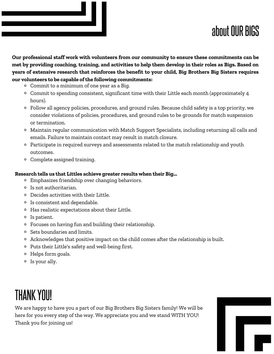### about OUR BIGS

**Our professional staff work with volunteers from our community to ensure these commitments can be** met by providing coaching, training, and activities to help them develop in their roles as Bigs. Based on **years of extensive research that reinforces the benefit to your child, Big Brothers Big Sisters requires our volunteers to be capable ofthe following commitments:**

- Commit to a minimum of one year as a Big.
- Commit to spending consistent, significant time with their Little each month (approximately 4 hours).
- Follow all agency policies, procedures, and ground rules. Because child safety is a top priority, we consider violations of policies, procedures, and ground rules to be grounds for match suspension or termination.
- Maintain regular communication with Match Support Specialists, including returning all calls and emails. Failure to maintain contact may result in match closure.
- $\circ$  Participate in required surveys and assessments related to the match relationship and youth outcomes.
- Complete assigned training.

#### **Research tells us that Littles achieve greater results when their Big...**

- Emphasizes friendship over changing behaviors.
- Is not authoritarian.
- Decides activities with their Little.
- Is consistent and dependable.
- Has realistic expectations about their Little.
- <sup>o</sup> Is patient.
- Focuses on having fun and building their relationship.
- <sup>o</sup> Sets boundaries and limits.
- Acknowledges that positive impact on the child comes after the relationship is built.
- o Puts their Little's safety and well-being first.
- Helps form goals.
- Is your ally.

### **THANK YOU!**

We are happy to have you a part of our Big Brothers Big Sisters family! We will be here for you every step of the way. We appreciate you and we stand WITH YOU! Thank you for joining us!